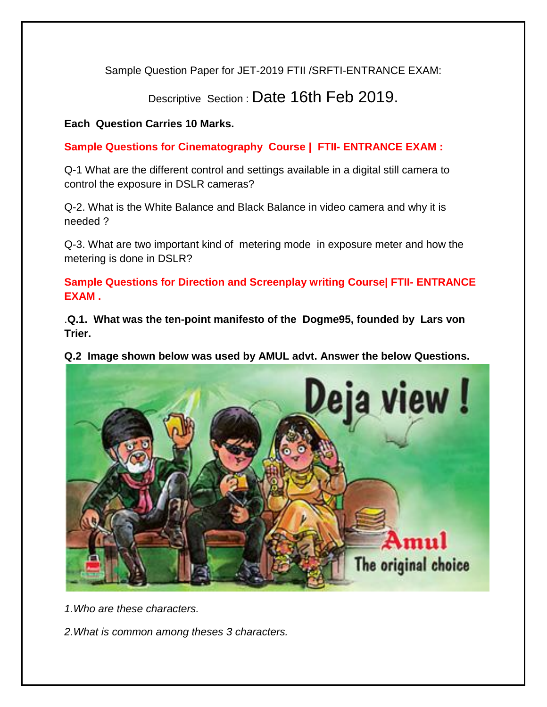Sample Question Paper for JET-2019 FTII /SRFTI-ENTRANCE EXAM:

Descriptive Section : Date 16th Feb 2019.

## **Each Question Carries 10 Marks.**

**Sample Questions for Cinematography Course | FTII- ENTRANCE EXAM :**

Q-1 What are the different control and settings available in a digital still camera to control the exposure in DSLR cameras?

Q-2. What is the White Balance and Black Balance in video camera and why it is needed ?

Q-3. What are two important kind of metering mode in exposure meter and how the metering is done in DSLR?

**Sample Questions for Direction and Screenplay writing Course| FTII- ENTRANCE EXAM .**

.**Q.1. What was the ten-point manifesto of the Dogme95, founded by [Lars von](https://www.empireonline.com/people/lars-von-trier/)  [Trier.](https://www.empireonline.com/people/lars-von-trier/)**

**Q.2 Image shown below was used by AMUL advt. Answer the below Questions.**



*1.Who are these characters.*

*2.What is common among theses 3 characters.*